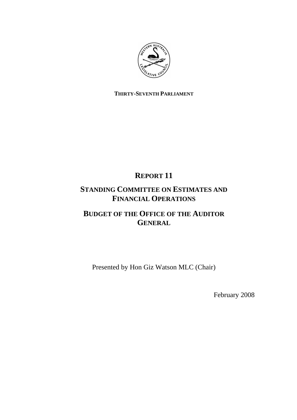

## **THIRTY-SEVENTH PARLIAMENT**

# **REPORT 11**

## **STANDING COMMITTEE ON ESTIMATES AND FINANCIAL OPERATIONS**

## **BUDGET OF THE OFFICE OF THE AUDITOR GENERAL**

Presented by Hon Giz Watson MLC (Chair)

February 2008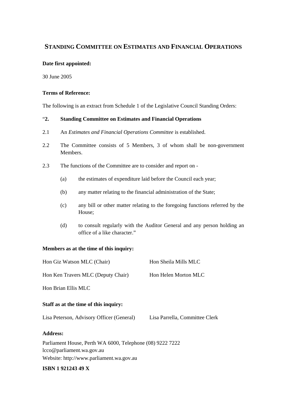## **STANDING COMMITTEE ON ESTIMATES AND FINANCIAL OPERATIONS**

### **Date first appointed:**

30 June 2005

## **Terms of Reference:**

The following is an extract from Schedule 1 of the Legislative Council Standing Orders:

## "**2. Standing Committee on Estimates and Financial Operations**

- 2.1 An *Estimates and Financial Operations Committee* is established.
- 2.2 The Committee consists of 5 Members, 3 of whom shall be non-government Members.
- 2.3 The functions of the Committee are to consider and report on
	- (a) the estimates of expenditure laid before the Council each year;
	- (b) any matter relating to the financial administration of the State;
	- (c) any bill or other matter relating to the foregoing functions referred by the House;
	- (d) to consult regularly with the Auditor General and any person holding an office of a like character."

### **Members as at the time of this inquiry:**

| Hon Giz Watson MLC (Chair)                                                             | Hon Sheila Mills MLC           |
|----------------------------------------------------------------------------------------|--------------------------------|
| Hon Ken Travers MLC (Deputy Chair)                                                     | Hon Helen Morton MLC           |
| Hon Brian Ellis MLC                                                                    |                                |
| Staff as at the time of this inquiry:                                                  |                                |
| Lisa Peterson, Advisory Officer (General)                                              | Lisa Parrella, Committee Clerk |
| <b>Address:</b>                                                                        |                                |
| Parliament House, Perth WA 6000, Telephone (08) 9222 7222<br>lcco@parliament.wa.gov.au |                                |

Website: http://www.parliament.wa.gov.au

#### **ISBN 1 921243 49 X**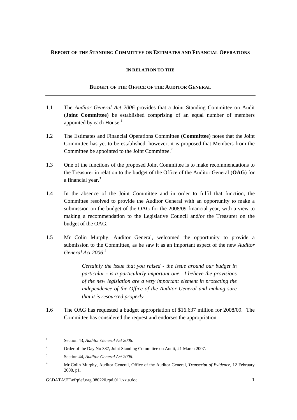### **REPORT OF THE STANDING COMMITTEE ON ESTIMATES AND FINANCIAL OPERATIONS**

#### **IN RELATION TO THE**

#### **BUDGET OF THE OFFICE OF THE AUDITOR GENERAL**

- 1.1 The *Auditor General Act 2006* provides that a Joint Standing Committee on Audit (**Joint Committee**) be established comprising of an equal number of members appointed by each House. $<sup>1</sup>$ </sup>
- 1.2 The Estimates and Financial Operations Committee (**Committee**) notes that the Joint Committee has yet to be established, however, it is proposed that Members from the Committee be appointed to the Joint Committee.<sup>2</sup>
- 1.3 One of the functions of the proposed Joint Committee is to make recommendations to the Treasurer in relation to the budget of the Office of the Auditor General (**OAG**) for a financial year.<sup>3</sup>
- 1.4 In the absence of the Joint Committee and in order to fulfil that function, the Committee resolved to provide the Auditor General with an opportunity to make a submission on the budget of the OAG for the 2008/09 financial year, with a view to making a recommendation to the Legislative Council and/or the Treasurer on the budget of the OAG.
- 1.5 Mr Colin Murphy, Auditor General, welcomed the opportunity to provide a submission to the Committee, as he saw it as an important aspect of the new *Auditor General Act 2006*: 4

*Certainly the issue that you raised - the issue around our budget in particular - is a particularly important one. I believe the provisions of the new legislation are a very important element in protecting the independence of the Office of the Auditor General and making sure that it is resourced properly.* 

1.6 The OAG has requested a budget appropriation of \$16.637 million for 2008/09. The Committee has considered the request and endorses the appropriation.

<sup>1</sup> Section 43, *Auditor General Act 2006*.

<sup>2</sup> Order of the Day No 387, Joint Standing Committee on Audit, 21 March 2007.

<sup>3</sup> Section 44, *Auditor General Act 2006*.

<sup>4</sup> Mr Colin Murphy, Auditor General*,* Office of the Auditor General, *Transcript of Evidence,* 12 February 2008, p1.